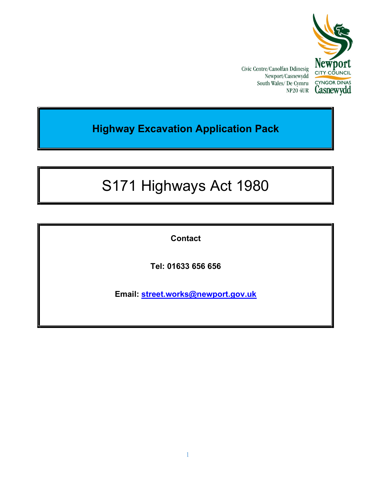

Civic Centre/Canolfan Ddinesig Newport/Casnewydd South Wales/De Cymru NP20 4UR

# Highway Excavation Application Pack

# S171 Highways Act 1980

Contact

Tel: 01633 656 656

Email: street.works@newport.gov.uk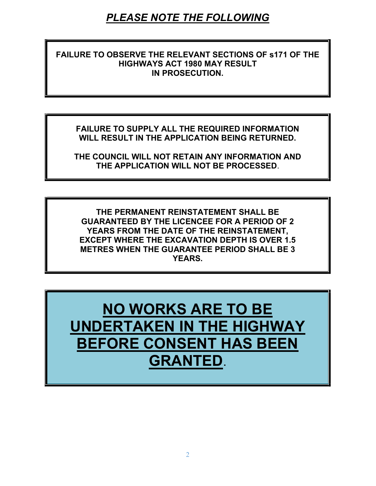# PLEASE NOTE THE FOLLOWING

### FAILURE TO OBSERVE THE RELEVANT SECTIONS OF s171 OF THE HIGHWAYS ACT 1980 MAY RESULT IN PROSECUTION.

FAILURE TO SUPPLY ALL THE REQUIRED INFORMATION WILL RESULT IN THE APPLICATION BEING RETURNED.

THE COUNCIL WILL NOT RETAIN ANY INFORMATION AND THE APPLICATION WILL NOT BE PROCESSED.

THE PERMANENT REINSTATEMENT SHALL BE GUARANTEED BY THE LICENCEE FOR A PERIOD OF 2 YEARS FROM THE DATE OF THE REINSTATEMENT, EXCEPT WHERE THE EXCAVATION DEPTH IS OVER 1.5 METRES WHEN THE GUARANTEE PERIOD SHALL BE 3 YEARS.

NO WORKS ARE TO BE UNDERTAKEN IN THE HIGHWAY BEFORE CONSENT HAS BEEN GRANTED.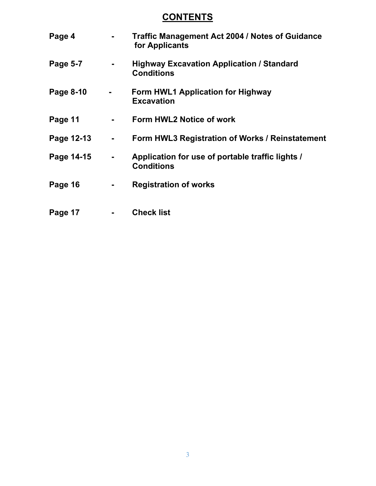# **CONTENTS**

| Page 4     |                | <b>Traffic Management Act 2004 / Notes of Guidance</b><br>for Applicants |
|------------|----------------|--------------------------------------------------------------------------|
| Page 5-7   | ۰              | <b>Highway Excavation Application / Standard</b><br><b>Conditions</b>    |
| Page 8-10  | $\blacksquare$ | Form HWL1 Application for Highway<br><b>Excavation</b>                   |
| Page 11    |                | Form HWL2 Notice of work                                                 |
| Page 12-13 | $\blacksquare$ | Form HWL3 Registration of Works / Reinstatement                          |
| Page 14-15 |                | Application for use of portable traffic lights /<br><b>Conditions</b>    |
| Page 16    |                | <b>Registration of works</b>                                             |
| Page 17    |                | <b>Check list</b>                                                        |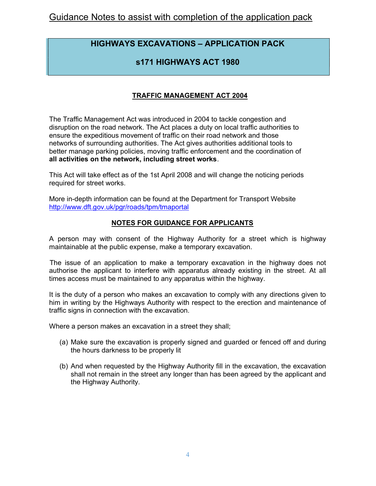# HIGHWAYS EXCAVATIONS – APPLICATION PACK

## s171 HIGHWAYS ACT 1980

### TRAFFIC MANAGEMENT ACT 2004

The Traffic Management Act was introduced in 2004 to tackle congestion and disruption on the road network. The Act places a duty on local traffic authorities to ensure the expeditious movement of traffic on their road network and those networks of surrounding authorities. The Act gives authorities additional tools to better manage parking policies, moving traffic enforcement and the coordination of all activities on the network, including street works.

This Act will take effect as of the 1st April 2008 and will change the noticing periods required for street works.

More in-depth information can be found at the Department for Transport Website http://www.dft.gov.uk/pgr/roads/tpm/tmaportal

#### NOTES FOR GUIDANCE FOR APPLICANTS

A person may with consent of the Highway Authority for a street which is highway maintainable at the public expense, make a temporary excavation.

 The issue of an application to make a temporary excavation in the highway does not authorise the applicant to interfere with apparatus already existing in the street. At all times access must be maintained to any apparatus within the highway.

It is the duty of a person who makes an excavation to comply with any directions given to him in writing by the Highways Authority with respect to the erection and maintenance of traffic signs in connection with the excavation.

Where a person makes an excavation in a street they shall;

- (a) Make sure the excavation is properly signed and guarded or fenced off and during the hours darkness to be properly lit
- (b) And when requested by the Highway Authority fill in the excavation, the excavation shall not remain in the street any longer than has been agreed by the applicant and the Highway Authority.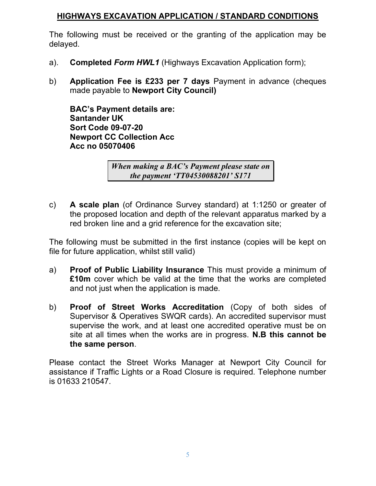# HIGHWAYS EXCAVATION APPLICATION / STANDARD CONDITIONS

The following must be received or the granting of the application may be delayed.

- a). **Completed Form HWL1** (Highways Excavation Application form);
- b) Application Fee is £233 per 7 days Payment in advance (cheques made payable to Newport City Council)

BAC's Payment details are: Santander UK Sort Code 09-07-20 Newport CC Collection Acc Acc no 05070406

> When making a BAC's Payment please state on the payment 'TT04530088201' S171

c) A scale plan (of Ordinance Survey standard) at 1:1250 or greater of the proposed location and depth of the relevant apparatus marked by a red broken line and a grid reference for the excavation site;

The following must be submitted in the first instance (copies will be kept on file for future application, whilst still valid)

- a) Proof of Public Liability Insurance This must provide a minimum of £10m cover which be valid at the time that the works are completed and not just when the application is made.
- b) Proof of Street Works Accreditation (Copy of both sides of Supervisor & Operatives SWQR cards). An accredited supervisor must supervise the work, and at least one accredited operative must be on site at all times when the works are in progress. N.B this cannot be the same person.

Please contact the Street Works Manager at Newport City Council for assistance if Traffic Lights or a Road Closure is required. Telephone number is 01633 210547.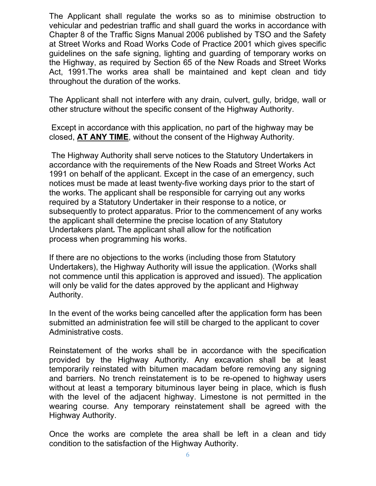The Applicant shall regulate the works so as to minimise obstruction to vehicular and pedestrian traffic and shall guard the works in accordance with Chapter 8 of the Traffic Signs Manual 2006 published by TSO and the Safety at Street Works and Road Works Code of Practice 2001 which gives specific guidelines on the safe signing, lighting and guarding of temporary works on the Highway, as required by Section 65 of the New Roads and Street Works Act, 1991.The works area shall be maintained and kept clean and tidy throughout the duration of the works.

The Applicant shall not interfere with any drain, culvert, gully, bridge, wall or other structure without the specific consent of the Highway Authority.

 Except in accordance with this application, no part of the highway may be closed, AT ANY TIME, without the consent of the Highway Authority.

 The Highway Authority shall serve notices to the Statutory Undertakers in accordance with the requirements of the New Roads and Street Works Act 1991 on behalf of the applicant. Except in the case of an emergency, such notices must be made at least twenty-five working days prior to the start of the works. The applicant shall be responsible for carrying out any works required by a Statutory Undertaker in their response to a notice, or subsequently to protect apparatus. Prior to the commencement of any works the applicant shall determine the precise location of any Statutory Undertakers plant. The applicant shall allow for the notification process when programming his works.

If there are no objections to the works (including those from Statutory Undertakers), the Highway Authority will issue the application. (Works shall not commence until this application is approved and issued). The application will only be valid for the dates approved by the applicant and Highway Authority.

In the event of the works being cancelled after the application form has been submitted an administration fee will still be charged to the applicant to cover Administrative costs.

Reinstatement of the works shall be in accordance with the specification provided by the Highway Authority. Any excavation shall be at least temporarily reinstated with bitumen macadam before removing any signing and barriers. No trench reinstatement is to be re-opened to highway users without at least a temporary bituminous layer being in place, which is flush with the level of the adjacent highway. Limestone is not permitted in the wearing course. Any temporary reinstatement shall be agreed with the Highway Authority.

Once the works are complete the area shall be left in a clean and tidy condition to the satisfaction of the Highway Authority.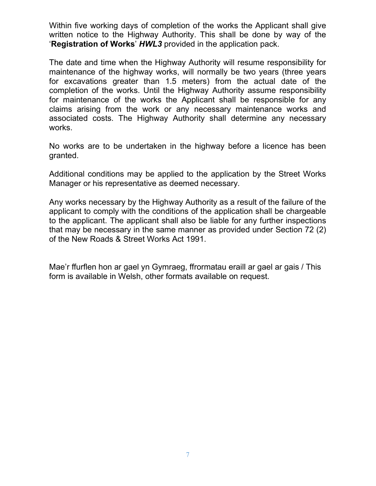Within five working days of completion of the works the Applicant shall give written notice to the Highway Authority. This shall be done by way of the **'Registration of Works' HWL3** provided in the application pack.

The date and time when the Highway Authority will resume responsibility for maintenance of the highway works, will normally be two years (three years for excavations greater than 1.5 meters) from the actual date of the completion of the works. Until the Highway Authority assume responsibility for maintenance of the works the Applicant shall be responsible for any claims arising from the work or any necessary maintenance works and associated costs. The Highway Authority shall determine any necessary works.

No works are to be undertaken in the highway before a licence has been granted.

Additional conditions may be applied to the application by the Street Works Manager or his representative as deemed necessary.

Any works necessary by the Highway Authority as a result of the failure of the applicant to comply with the conditions of the application shall be chargeable to the applicant. The applicant shall also be liable for any further inspections that may be necessary in the same manner as provided under Section 72 (2) of the New Roads & Street Works Act 1991.

Mae'r ffurflen hon ar gael yn Gymraeg, ffrormatau eraill ar gael ar gais / This form is available in Welsh, other formats available on request.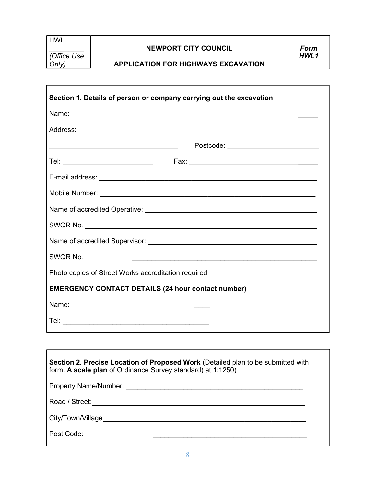HWL

 $\Gamma$ 

 $\frac{1}{2}$ (Office Use Only)

### NEWPORT CITY COUNCIL

#### APPLICATION FOR HIGHWAYS EXCAVATION

| Section 1. Details of person or company carrying out the excavation                                                                                                                                                                 |
|-------------------------------------------------------------------------------------------------------------------------------------------------------------------------------------------------------------------------------------|
| Name: <u>Name:</u> Name: Name: Name: Name: Name: Name: Name: Name: Name: Name: Name: Name: Name: Name: Name: Name: Name: Name: Name: Name: Name: Name: Name: Name: Name: Name: Name: Name: Name: Name: Name: Name: Name: Name: Name |
|                                                                                                                                                                                                                                     |
| Postcode: __________________________<br><u> 1989 - Johann Barnett, fransk politiker (d. 1989)</u>                                                                                                                                   |
| Tel: ______________________________                                                                                                                                                                                                 |
|                                                                                                                                                                                                                                     |
|                                                                                                                                                                                                                                     |
|                                                                                                                                                                                                                                     |
|                                                                                                                                                                                                                                     |
|                                                                                                                                                                                                                                     |
|                                                                                                                                                                                                                                     |
| Photo copies of Street Works accreditation required                                                                                                                                                                                 |
| <b>EMERGENCY CONTACT DETAILS (24 hour contact number)</b>                                                                                                                                                                           |
|                                                                                                                                                                                                                                     |
|                                                                                                                                                                                                                                     |

| Section 2. Precise Location of Proposed Work (Detailed plan to be submitted with<br>form. A scale plan of Ordinance Survey standard) at 1:1250)                                                                               |  |  |  |  |  |  |  |  |
|-------------------------------------------------------------------------------------------------------------------------------------------------------------------------------------------------------------------------------|--|--|--|--|--|--|--|--|
| Property Name/Number: \\contact \\contact \\contact \\contact \\contact \\contact \\contact \\contact \\contact \\contact \\contact \\contact \\contact \\contact \\contact \\contact \\contact \\contact \\contact \\contact |  |  |  |  |  |  |  |  |
|                                                                                                                                                                                                                               |  |  |  |  |  |  |  |  |
|                                                                                                                                                                                                                               |  |  |  |  |  |  |  |  |
|                                                                                                                                                                                                                               |  |  |  |  |  |  |  |  |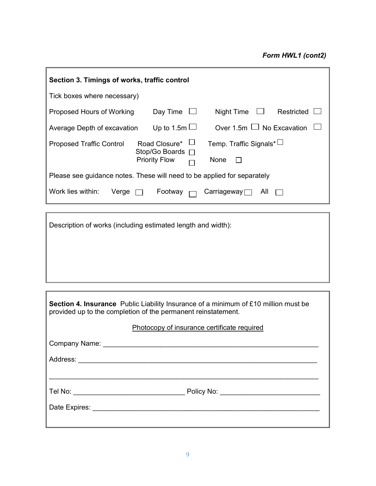| Section 3. Timings of works, traffic control                                       |                                           |                           |  |  |  |  |  |  |  |
|------------------------------------------------------------------------------------|-------------------------------------------|---------------------------|--|--|--|--|--|--|--|
| Tick boxes where necessary)                                                        |                                           |                           |  |  |  |  |  |  |  |
| Day Time $\Box$<br>Night Time<br>Restricted<br>Proposed Hours of Working           |                                           |                           |  |  |  |  |  |  |  |
| Over 1.5m $\Box$ No Excavation<br>Up to 1.5m $\Box$<br>Average Depth of excavation |                                           |                           |  |  |  |  |  |  |  |
| <b>Proposed Traffic Control</b>                                                    | Road Closure* L<br>Temp. Traffic Signals* |                           |  |  |  |  |  |  |  |
|                                                                                    | Stop/Go Boards □<br><b>Priority Flow</b>  | None                      |  |  |  |  |  |  |  |
| Please see guidance notes. These will need to be applied for separately            |                                           |                           |  |  |  |  |  |  |  |
| Work lies within:<br>Verge                                                         | Footway                                   | Carriageway $\Box$<br>All |  |  |  |  |  |  |  |

Description of works (including estimated length and width):

| <b>Section 4. Insurance</b> Public Liability Insurance of a minimum of £10 million must be<br>provided up to the completion of the permanent reinstatement. |  |  |  |  |  |  |  |  |
|-------------------------------------------------------------------------------------------------------------------------------------------------------------|--|--|--|--|--|--|--|--|
| Photocopy of insurance certificate required                                                                                                                 |  |  |  |  |  |  |  |  |
|                                                                                                                                                             |  |  |  |  |  |  |  |  |
|                                                                                                                                                             |  |  |  |  |  |  |  |  |
|                                                                                                                                                             |  |  |  |  |  |  |  |  |
|                                                                                                                                                             |  |  |  |  |  |  |  |  |
|                                                                                                                                                             |  |  |  |  |  |  |  |  |
|                                                                                                                                                             |  |  |  |  |  |  |  |  |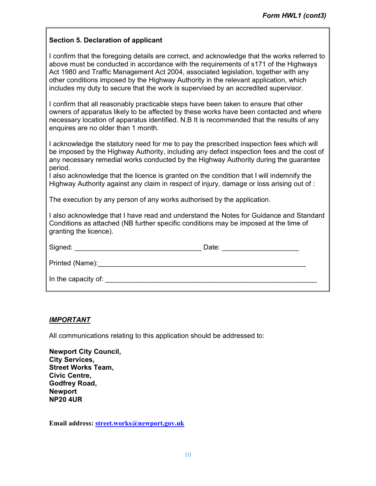#### Section 5. Declaration of applicant

I confirm that the foregoing details are correct, and acknowledge that the works referred to above must be conducted in accordance with the requirements of s171 of the Highways Act 1980 and Traffic Management Act 2004, associated legislation, together with any other conditions imposed by the Highway Authority in the relevant application, which includes my duty to secure that the work is supervised by an accredited supervisor.

I confirm that all reasonably practicable steps have been taken to ensure that other owners of apparatus likely to be affected by these works have been contacted and where necessary location of apparatus identified. N.B It is recommended that the results of any enquires are no older than 1 month.

I acknowledge the statutory need for me to pay the prescribed inspection fees which will be imposed by the Highway Authority, including any defect inspection fees and the cost of any necessary remedial works conducted by the Highway Authority during the guarantee period.

I also acknowledge that the licence is granted on the condition that I will indemnify the Highway Authority against any claim in respect of injury, damage or loss arising out of :

The execution by any person of any works authorised by the application.

I also acknowledge that I have read and understand the Notes for Guidance and Standard Conditions as attached (NB further specific conditions may be imposed at the time of granting the licence).

| Signed:             | Date: |
|---------------------|-------|
| Printed (Name):     |       |
| In the capacity of: |       |

#### IMPORTANT

All communications relating to this application should be addressed to:

| <b>Newport City Council,</b> |
|------------------------------|
| <b>City Services,</b>        |
| <b>Street Works Team,</b>    |
| <b>Civic Centre,</b>         |
| Godfrey Road,                |
| <b>Newport</b>               |
| <b>NP20 4UR</b>              |

Email address: street.works@newport.gov.uk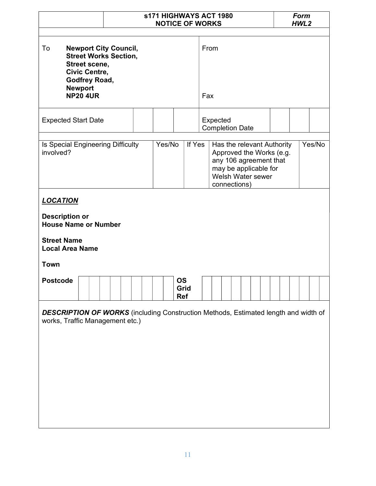|                                                                                                                                                                                              |  |             | <b>s171 HIGHWAYS ACT 1980</b><br><b>Form</b><br><b>NOTICE OF WORKS</b><br>HWL <sub>2</sub> |                                                                                                                                                |        |  |  |  |  |
|----------------------------------------------------------------------------------------------------------------------------------------------------------------------------------------------|--|-------------|--------------------------------------------------------------------------------------------|------------------------------------------------------------------------------------------------------------------------------------------------|--------|--|--|--|--|
| To<br><b>Newport City Council,</b><br><b>Street Works Section,</b><br>Street scene,<br><b>Civic Centre,</b><br>Godfrey Road,<br><b>Newport</b><br><b>NP20 4UR</b>                            |  | From<br>Fax |                                                                                            |                                                                                                                                                |        |  |  |  |  |
| <b>Expected Start Date</b>                                                                                                                                                                   |  |             |                                                                                            | Expected<br><b>Completion Date</b>                                                                                                             |        |  |  |  |  |
| Is Special Engineering Difficulty<br>involved?                                                                                                                                               |  | Yes/No      | If Yes                                                                                     | Has the relevant Authority<br>Approved the Works (e.g.<br>any 106 agreement that<br>may be applicable for<br>Welsh Water sewer<br>connections) | Yes/No |  |  |  |  |
| <b>LOCATION</b><br><b>Description or</b><br><b>House Name or Number</b><br><b>Street Name</b><br><b>Local Area Name</b><br><b>Town</b><br><b>OS</b><br><b>Postcode</b><br>Grid<br><b>Ref</b> |  |             |                                                                                            |                                                                                                                                                |        |  |  |  |  |
| works, Traffic Management etc.)                                                                                                                                                              |  |             |                                                                                            | <b>DESCRIPTION OF WORKS</b> (including Construction Methods, Estimated length and width of                                                     |        |  |  |  |  |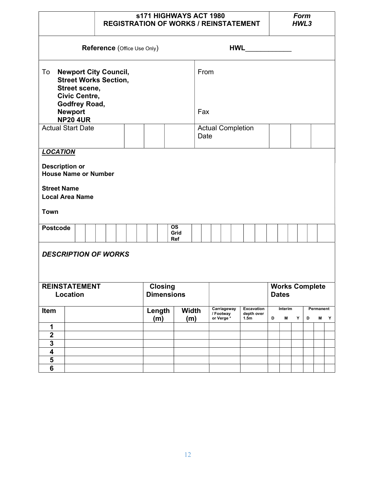|                                                                                                                                                            |                                                                                                                                                                                    | <b>S171 HIGHWAYS ACT 1980</b><br><b>REGISTRATION OF WORKS / REINSTATEMENT</b> |  |  |                                      |             |      |                                                                                                          |            |                          | <b>Form</b><br>HWL3 |   |                     |  |   |  |  |
|------------------------------------------------------------------------------------------------------------------------------------------------------------|------------------------------------------------------------------------------------------------------------------------------------------------------------------------------------|-------------------------------------------------------------------------------|--|--|--------------------------------------|-------------|------|----------------------------------------------------------------------------------------------------------|------------|--------------------------|---------------------|---|---------------------|--|---|--|--|
|                                                                                                                                                            | Reference (Office Use Only)                                                                                                                                                        |                                                                               |  |  |                                      |             |      |                                                                                                          | <b>HWL</b> |                          |                     |   |                     |  |   |  |  |
| To<br><b>Newport City Council,</b><br><b>Street Works Section,</b><br>Street scene,<br>Civic Centre,<br>Godfrey Road,<br><b>Newport</b><br><b>NP20 4UR</b> |                                                                                                                                                                                    |                                                                               |  |  |                                      | From<br>Fax |      |                                                                                                          |            |                          |                     |   |                     |  |   |  |  |
| <b>Actual Start Date</b>                                                                                                                                   |                                                                                                                                                                                    |                                                                               |  |  |                                      |             | Date |                                                                                                          |            | <b>Actual Completion</b> |                     |   |                     |  |   |  |  |
| <b>Town</b>                                                                                                                                                | <b>Description or</b><br><b>House Name or Number</b><br><b>Street Name</b><br><b>Local Area Name</b><br><b>OS</b><br><b>Postcode</b><br>Grid<br>Ref<br><b>DESCRIPTION OF WORKS</b> |                                                                               |  |  |                                      |             |      |                                                                                                          |            |                          |                     |   |                     |  |   |  |  |
|                                                                                                                                                            | <b>REINSTATEMENT</b><br><b>Closing</b><br><b>Works Complete</b><br><b>Dimensions</b><br>Location<br><b>Dates</b>                                                                   |                                                                               |  |  |                                      |             |      |                                                                                                          |            |                          |                     |   |                     |  |   |  |  |
| Item                                                                                                                                                       |                                                                                                                                                                                    |                                                                               |  |  | <b>Width</b><br>Length<br>(m)<br>(m) |             |      | Carriageway<br><b>Excavation</b><br>/ Footway<br>depth over<br>or Verge <sup>*</sup><br>1.5 <sub>m</sub> |            | Interim<br>D<br>M        |                     | Υ | Permanent<br>D<br>M |  | Y |  |  |
| 1                                                                                                                                                          |                                                                                                                                                                                    |                                                                               |  |  |                                      |             |      |                                                                                                          |            |                          |                     |   |                     |  |   |  |  |
| $\overline{\mathbf{2}}$<br>$\overline{\mathbf{3}}$                                                                                                         |                                                                                                                                                                                    |                                                                               |  |  |                                      |             |      |                                                                                                          |            |                          |                     |   |                     |  |   |  |  |
| $\overline{\mathbf{4}}$                                                                                                                                    |                                                                                                                                                                                    |                                                                               |  |  |                                      |             |      |                                                                                                          |            |                          |                     |   |                     |  |   |  |  |
| 5                                                                                                                                                          |                                                                                                                                                                                    |                                                                               |  |  |                                      |             |      |                                                                                                          |            |                          |                     |   |                     |  |   |  |  |
| $6\phantom{a}$                                                                                                                                             |                                                                                                                                                                                    |                                                                               |  |  |                                      |             |      |                                                                                                          |            |                          |                     |   |                     |  |   |  |  |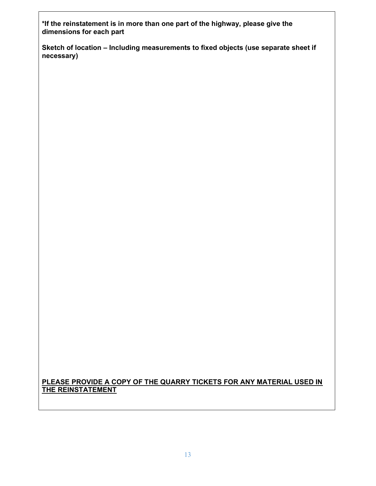\*If the reinstatement is in more than one part of the highway, please give the dimensions for each part

Sketch of location – Including measurements to fixed objects (use separate sheet if necessary)

#### PLEASE PROVIDE A COPY OF THE QUARRY TICKETS FOR ANY MATERIAL USED IN THE REINSTATEMENT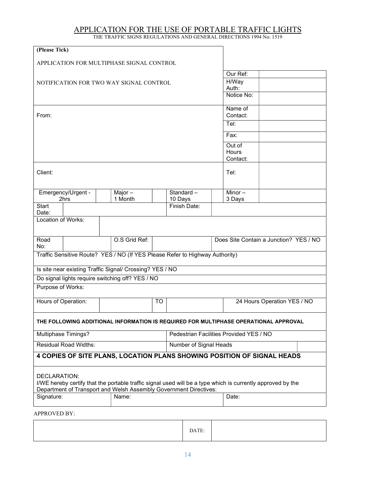#### APPLICATION FOR THE USE OF PORTABLE TRAFFIC LIGHTS THE TRAFFIC SIGNS REGULATIONS AND GENERAL DIRECTIONS 1994 No: 1519

| (Please Tick)                             |                                         |  |                                                          |           |                                                                              |  |                                                                                                             |  |  |  |  |
|-------------------------------------------|-----------------------------------------|--|----------------------------------------------------------|-----------|------------------------------------------------------------------------------|--|-------------------------------------------------------------------------------------------------------------|--|--|--|--|
| APPLICATION FOR MULTIPHASE SIGNAL CONTROL |                                         |  |                                                          |           |                                                                              |  |                                                                                                             |  |  |  |  |
|                                           |                                         |  | Our Ref:                                                 |           |                                                                              |  |                                                                                                             |  |  |  |  |
|                                           | NOTIFICATION FOR TWO WAY SIGNAL CONTROL |  | H/Way                                                    |           |                                                                              |  |                                                                                                             |  |  |  |  |
|                                           |                                         |  | Auth:                                                    |           |                                                                              |  |                                                                                                             |  |  |  |  |
|                                           |                                         |  | Notice No:                                               |           |                                                                              |  |                                                                                                             |  |  |  |  |
|                                           |                                         |  |                                                          |           |                                                                              |  | Name of                                                                                                     |  |  |  |  |
| From:                                     |                                         |  |                                                          |           |                                                                              |  | Contact:<br>Tel:                                                                                            |  |  |  |  |
|                                           |                                         |  |                                                          |           |                                                                              |  |                                                                                                             |  |  |  |  |
|                                           |                                         |  |                                                          |           |                                                                              |  | Fax:                                                                                                        |  |  |  |  |
|                                           |                                         |  |                                                          |           |                                                                              |  | Out of                                                                                                      |  |  |  |  |
|                                           |                                         |  |                                                          |           |                                                                              |  | Hours<br>Contact:                                                                                           |  |  |  |  |
|                                           |                                         |  |                                                          |           |                                                                              |  |                                                                                                             |  |  |  |  |
| Client:                                   |                                         |  |                                                          |           |                                                                              |  | Tel:                                                                                                        |  |  |  |  |
|                                           |                                         |  |                                                          |           |                                                                              |  |                                                                                                             |  |  |  |  |
|                                           | Emergency/Urgent -                      |  | Major $-$                                                |           | Standard-                                                                    |  | Minor-                                                                                                      |  |  |  |  |
|                                           | 2hrs                                    |  | 1 Month                                                  |           | 10 Days                                                                      |  | 3 Days                                                                                                      |  |  |  |  |
| <b>Start</b><br>Date:                     |                                         |  |                                                          |           | Finish Date:                                                                 |  |                                                                                                             |  |  |  |  |
| Location of Works:                        |                                         |  |                                                          |           |                                                                              |  |                                                                                                             |  |  |  |  |
|                                           |                                         |  |                                                          |           |                                                                              |  |                                                                                                             |  |  |  |  |
| Road                                      |                                         |  | O.S Grid Ref:                                            |           |                                                                              |  | Does Site Contain a Junction? YES / NO                                                                      |  |  |  |  |
| No:                                       |                                         |  |                                                          |           |                                                                              |  |                                                                                                             |  |  |  |  |
|                                           |                                         |  |                                                          |           | Traffic Sensitive Route? YES / NO (If YES Please Refer to Highway Authority) |  |                                                                                                             |  |  |  |  |
|                                           |                                         |  | Is site near existing Traffic Signal/ Crossing? YES / NO |           |                                                                              |  |                                                                                                             |  |  |  |  |
|                                           |                                         |  | Do signal lights require switching off? YES / NO         |           |                                                                              |  |                                                                                                             |  |  |  |  |
| Purpose of Works:                         |                                         |  |                                                          |           |                                                                              |  |                                                                                                             |  |  |  |  |
| Hours of Operation:                       |                                         |  |                                                          | <b>TO</b> |                                                                              |  | 24 Hours Operation YES / NO                                                                                 |  |  |  |  |
|                                           |                                         |  |                                                          |           |                                                                              |  | THE FOLLOWING ADDITIONAL INFORMATION IS REQUIRED FOR MULTIPHASE OPERATIONAL APPROVAL                        |  |  |  |  |
|                                           | Multiphase Timings?                     |  |                                                          |           |                                                                              |  | Pedestrian Facilities Provided YES / NO                                                                     |  |  |  |  |
|                                           | <b>Residual Road Widths:</b>            |  |                                                          |           | Number of Signal Heads                                                       |  |                                                                                                             |  |  |  |  |
|                                           |                                         |  |                                                          |           |                                                                              |  |                                                                                                             |  |  |  |  |
|                                           |                                         |  |                                                          |           |                                                                              |  | 4 COPIES OF SITE PLANS, LOCATION PLANS SHOWING POSITION OF SIGNAL HEADS                                     |  |  |  |  |
| DECLARATION:                              |                                         |  |                                                          |           |                                                                              |  |                                                                                                             |  |  |  |  |
|                                           |                                         |  |                                                          |           |                                                                              |  | I/WE hereby certify that the portable traffic signal used will be a type which is currently approved by the |  |  |  |  |
|                                           |                                         |  |                                                          |           | Department of Transport and Welsh Assembly Government Directives:            |  |                                                                                                             |  |  |  |  |
| Signature:                                |                                         |  | Name:                                                    |           |                                                                              |  | Date:                                                                                                       |  |  |  |  |
| APPROVED BY:                              |                                         |  |                                                          |           |                                                                              |  |                                                                                                             |  |  |  |  |

DATE: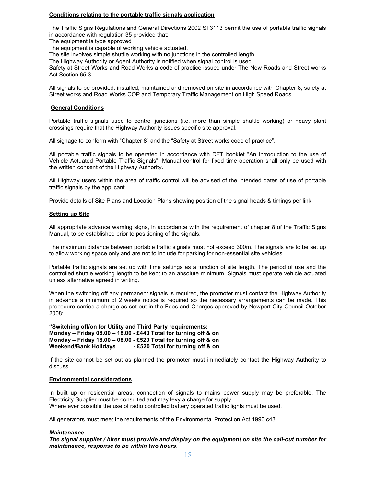#### Conditions relating to the portable traffic signals application

The Traffic Signs Regulations and General Directions 2002 SI 3113 permit the use of portable traffic signals in accordance with regulation 35 provided that:

The equipment is type approved

The equipment is capable of working vehicle actuated.

The site involves simple shuttle working with no junctions in the controlled length.

The Highway Authority or Agent Authority is notified when signal control is used.

Safety at Street Works and Road Works a code of practice issued under The New Roads and Street works Act Section 65.3

All signals to be provided, installed, maintained and removed on site in accordance with Chapter 8, safety at Street works and Road Works COP and Temporary Traffic Management on High Speed Roads.

#### General Conditions

Portable traffic signals used to control junctions (i.e. more than simple shuttle working) or heavy plant crossings require that the Highway Authority issues specific site approval.

All signage to conform with "Chapter 8" and the "Safety at Street works code of practice".

All portable traffic signals to be operated in accordance with DFT booklet "An Introduction to the use of Vehicle Actuated Portable Traffic Signals". Manual control for fixed time operation shall only be used with the written consent of the Highway Authority.

All Highway users within the area of traffic control will be advised of the intended dates of use of portable traffic signals by the applicant.

Provide details of Site Plans and Location Plans showing position of the signal heads & timings per link.

#### Setting up Site

All appropriate advance warning signs, in accordance with the requirement of chapter 8 of the Traffic Signs Manual, to be established prior to positioning of the signals.

The maximum distance between portable traffic signals must not exceed 300m. The signals are to be set up to allow working space only and are not to include for parking for non-essential site vehicles.

Portable traffic signals are set up with time settings as a function of site length. The period of use and the controlled shuttle working length to be kept to an absolute minimum. Signals must operate vehicle actuated unless alternative agreed in writing.

When the switching off any permanent signals is required, the promoter must contact the Highway Authority in advance a minimum of 2 weeks notice is required so the necessary arrangements can be made. This procedure carries a charge as set out in the Fees and Charges approved by Newport City Council October 2008:

"Switching off/on for Utility and Third Party requirements: Monday – Friday 08.00 – 18.00 - £440 Total for turning off & on Monday – Friday 18.00 – 08.00 - £520 Total for turning off & on Weekend/Bank Holidays - £520 Total for turning off & on

If the site cannot be set out as planned the promoter must immediately contact the Highway Authority to discuss.

#### Environmental considerations

In built up or residential areas, connection of signals to mains power supply may be preferable. The Electricity Supplier must be consulted and may levy a charge for supply. Where ever possible the use of radio controlled battery operated traffic lights must be used.

All generators must meet the requirements of the Environmental Protection Act 1990 c43.

#### **Maintenance**

The signal supplier / hirer must provide and display on the equipment on site the call-out number for maintenance, response to be within two hours.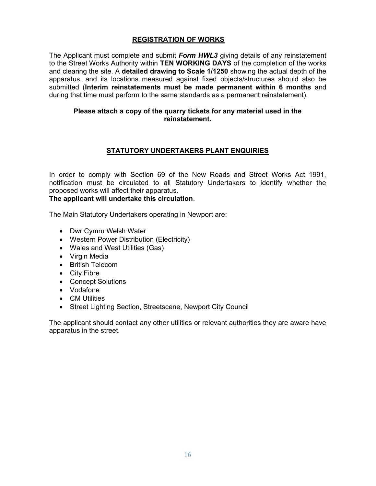#### REGISTRATION OF WORKS

The Applicant must complete and submit Form HWL3 giving details of any reinstatement to the Street Works Authority within TEN WORKING DAYS of the completion of the works and clearing the site. A detailed drawing to Scale 1/1250 showing the actual depth of the apparatus, and its locations measured against fixed objects/structures should also be submitted (Interim reinstatements must be made permanent within 6 months and during that time must perform to the same standards as a permanent reinstatement).

#### Please attach a copy of the quarry tickets for any material used in the reinstatement.

#### STATUTORY UNDERTAKERS PLANT ENQUIRIES

In order to comply with Section 69 of the New Roads and Street Works Act 1991, notification must be circulated to all Statutory Undertakers to identify whether the proposed works will affect their apparatus.

#### The applicant will undertake this circulation.

The Main Statutory Undertakers operating in Newport are:

- Dwr Cymru Welsh Water
- Western Power Distribution (Electricity)
- Wales and West Utilities (Gas)
- Virgin Media
- British Telecom
- City Fibre
- Concept Solutions
- Vodafone
- CM Utilities
- Street Lighting Section, Streetscene, Newport City Council

The applicant should contact any other utilities or relevant authorities they are aware have apparatus in the street.